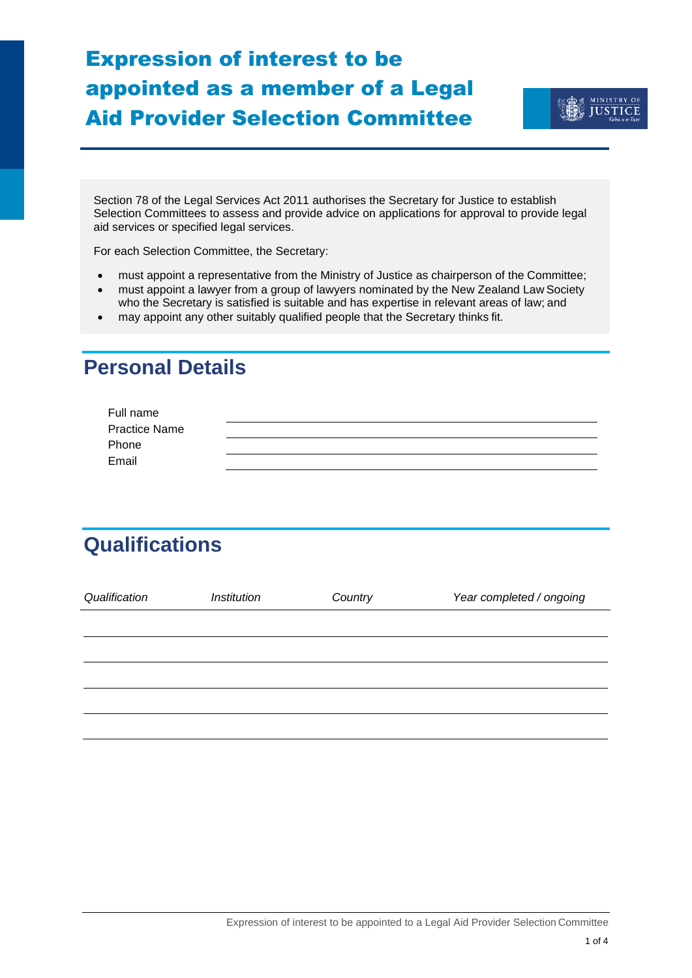# Expression of interest to be appointed as a member of a Legal Aid Provider Selection Committee



[Section 78 of the Legal Services Act 2011 a](http://www.legislation.govt.nz/act/public/2011/0004/latest/DLM3142913.html?search=sw_096be8ed818e1988_78_25_se&p=1&sr=2)uthorises the Secretary for Justice to establish Selection Committees to assess and provide advice on applications for approval to provide legal aid services or specified legal services.

For each Selection Committee, the Secretary:

- must appoint a representative from the Ministry of Justice as chairperson of the Committee;
- must appoint a lawyer from a group of lawyers nominated by the New Zealand Law Society who the Secretary is satisfied is suitable and has expertise in relevant areas of law; and
- may appoint any other suitably qualified people that the Secretary thinks fit.

## **Personal Details**

| Full name            |  |
|----------------------|--|
| <b>Practice Name</b> |  |
| Phone                |  |
| Email                |  |
|                      |  |

## **Qualifications**

| Qualification | <b>Institution</b> | Country | Year completed / ongoing |
|---------------|--------------------|---------|--------------------------|
|               |                    |         |                          |
|               |                    |         |                          |
|               |                    |         |                          |
|               |                    |         |                          |
|               |                    |         |                          |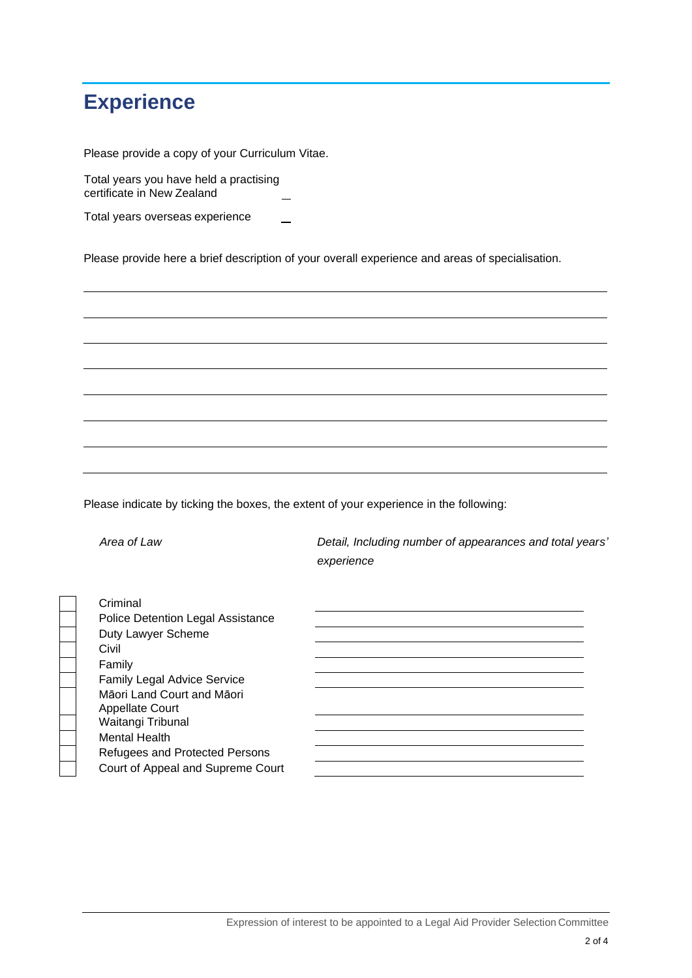## **Experience**

Please provide a copy of your Curriculum Vitae.

Total years you have held a practising certificate in New Zealand

Total years overseas experience

Please provide here a brief description of your overall experience and areas of specialisation.

Please indicate by ticking the boxes, the extent of your experience in the following:

 *Area of Law Detail, Including number of appearances and total years' experience*

**Criminal** Police Detention Legal Assistance Duty Lawyer Scheme Civil Family Family Legal Advice Service Māori Land Court and Māori Appellate Court Waitangi Tribunal Mental Health Refugees and Protected Persons Court of Appeal and Supreme Court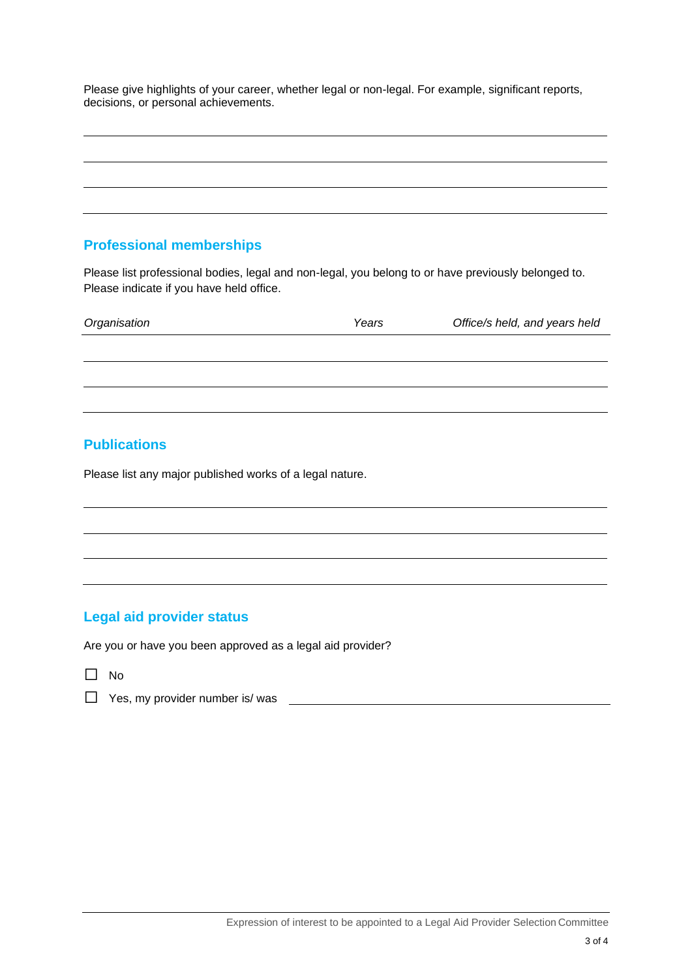Please give highlights of your career, whether legal or non-legal. For example, significant reports, decisions, or personal achievements.

#### **Professional memberships**

Please list professional bodies, legal and non-legal, you belong to or have previously belonged to. Please indicate if you have held office.

| Organisation | Years | Office/s held, and years held |
|--------------|-------|-------------------------------|
|              |       |                               |
|              |       |                               |
|              |       |                               |

#### **Publications**

Please list any major published works of a legal nature.

#### **Legal aid provider status**

Are you or have you been approved as a legal aid provider?

- ☐ No
- □ Yes, my provider number is/ was <br>
□ Yes, my provider number is/ was